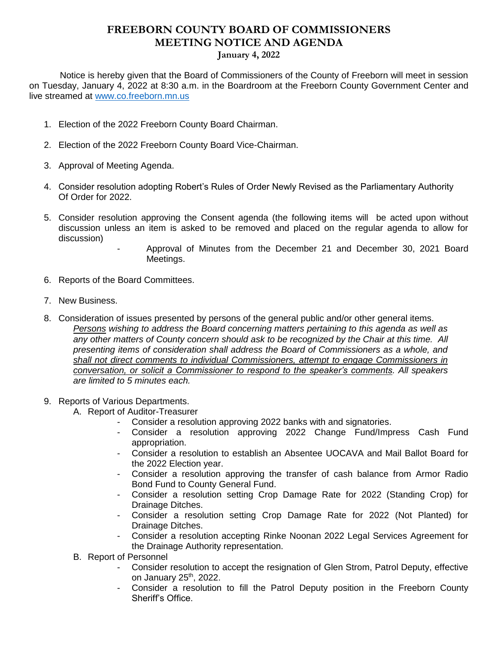## **FREEBORN COUNTY BOARD OF COMMISSIONERS MEETING NOTICE AND AGENDA January 4, 2022**

 Notice is hereby given that the Board of Commissioners of the County of Freeborn will meet in session on Tuesday, January 4, 2022 at 8:30 a.m. in the Boardroom at the Freeborn County Government Center and live streamed at [www.co.freeborn.mn.us](http://www.co.freeborn.mn.us/) 

- 1. Election of the 2022 Freeborn County Board Chairman.
- 2. Election of the 2022 Freeborn County Board Vice-Chairman.
- 3. Approval of Meeting Agenda.
- 4. Consider resolution adopting Robert's Rules of Order Newly Revised as the Parliamentary Authority Of Order for 2022.
- 5. Consider resolution approving the Consent agenda (the following items will be acted upon without discussion unless an item is asked to be removed and placed on the regular agenda to allow for discussion)
	- Approval of Minutes from the December 21 and December 30, 2021 Board Meetings.
- 6. Reports of the Board Committees.
- 7. New Business.
- 8. Consideration of issues presented by persons of the general public and/or other general items. *Persons wishing to address the Board concerning matters pertaining to this agenda as well as any other matters of County concern should ask to be recognized by the Chair at this time. All presenting items of consideration shall address the Board of Commissioners as a whole, and shall not direct comments to individual Commissioners, attempt to engage Commissioners in conversation, or solicit a Commissioner to respond to the speaker's comments. All speakers are limited to 5 minutes each.*
- 9. Reports of Various Departments.
	- A. Report of Auditor-Treasurer
		- Consider a resolution approving 2022 banks with and signatories.
		- Consider a resolution approving 2022 Change Fund/Impress Cash Fund appropriation.
		- Consider a resolution to establish an Absentee UOCAVA and Mail Ballot Board for the 2022 Election year.
		- Consider a resolution approving the transfer of cash balance from Armor Radio Bond Fund to County General Fund.
		- Consider a resolution setting Crop Damage Rate for 2022 (Standing Crop) for Drainage Ditches.
		- Consider a resolution setting Crop Damage Rate for 2022 (Not Planted) for Drainage Ditches.
		- Consider a resolution accepting Rinke Noonan 2022 Legal Services Agreement for the Drainage Authority representation.
	- B. Report of Personnel
		- Consider resolution to accept the resignation of Glen Strom, Patrol Deputy, effective on January  $25<sup>th</sup>$ , 2022.
		- Consider a resolution to fill the Patrol Deputy position in the Freeborn County Sheriff's Office.